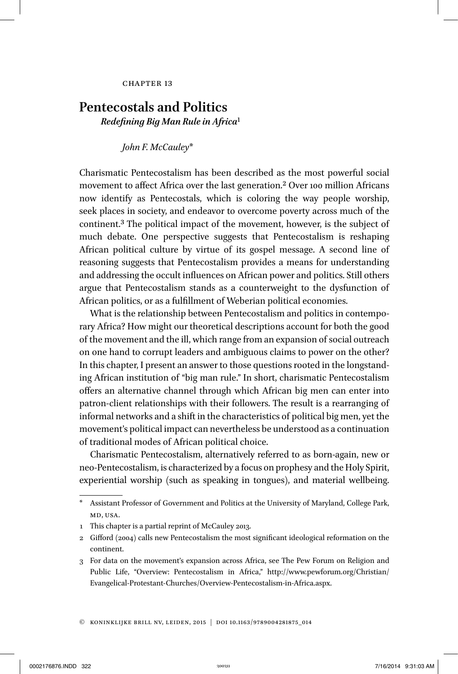# **CHAPTER 13**

# **Pentecostals and Politics** *Redefining Big Man Rule in Africa*1

*John F. McCauley*\*

Charismatic Pentecostalism has been described as the most powerful social movement to affect Africa over the last generation.2 Over 100 million Africans now identify as Pentecostals, which is coloring the way people worship, seek places in society, and endeavor to overcome poverty across much of the continent.3 The political impact of the movement, however, is the subject of much debate. One perspective suggests that Pentecostalism is reshaping African political culture by virtue of its gospel message. A second line of reasoning suggests that Pentecostalism provides a means for understanding and addressing the occult influences on African power and politics. Still others argue that Pentecostalism stands as a counterweight to the dysfunction of African politics, or as a fulfillment of Weberian political economies.

What is the relationship between Pentecostalism and politics in contemporary Africa? How might our theoretical descriptions account for both the good of the movement and the ill, which range from an expansion of social outreach on one hand to corrupt leaders and ambiguous claims to power on the other? In this chapter, I present an answer to those questions rooted in the longstanding African institution of "big man rule." In short, charismatic Pentecostalism offers an alternative channel through which African big men can enter into patron-client relationships with their followers. The result is a rearranging of informal networks and a shift in the characteristics of political big men, yet the movement's political impact can nevertheless be understood as a continuation of traditional modes of African political choice.

Charismatic Pentecostalism, alternatively referred to as born-again, new or neo-Pentecostalism, is characterized by a focus on prophesy and the Holy Spirit, experiential worship (such as speaking in tongues), and material wellbeing.

3 For data on the movement's expansion across Africa, see The Pew Forum on Religion and Public Life, "Overview: Pentecostalism in Africa," http://www.pewforum.org/Christian/ Evangelical-Protestant-Churches/Overview-Pentecostalism-in-Africa.aspx.

© koninklijke brill nv, leiden, 2015 | doi 10.1163/9789004281875\_014

Assistant Professor of Government and Politics at the University of Maryland, College Park, md, usa.

<sup>1</sup> This chapter is a partial reprint of McCauley 2013.

<sup>2</sup> Gifford (2004) calls new Pentecostalism the most significant ideological reformation on the continent.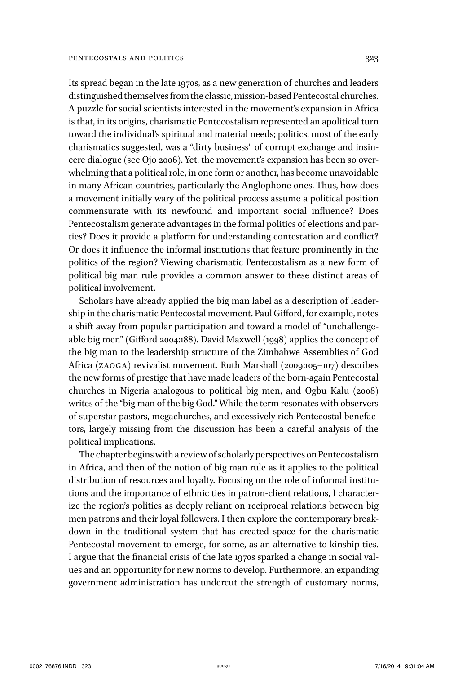Its spread began in the late 1970s, as a new generation of churches and leaders distinguished themselves from the classic, mission-based Pentecostal churches. A puzzle for social scientists interested in the movement's expansion in Africa is that, in its origins, charismatic Pentecostalism represented an apolitical turn toward the individual's spiritual and material needs; politics, most of the early charismatics suggested, was a "dirty business" of corrupt exchange and insincere dialogue (see Ojo 2006). Yet, the movement's expansion has been so overwhelming that a political role, in one form or another, has become unavoidable in many African countries, particularly the Anglophone ones. Thus, how does a movement initially wary of the political process assume a political position commensurate with its newfound and important social influence? Does Pentecostalism generate advantages in the formal politics of elections and parties? Does it provide a platform for understanding contestation and conflict? Or does it influence the informal institutions that feature prominently in the politics of the region? Viewing charismatic Pentecostalism as a new form of political big man rule provides a common answer to these distinct areas of political involvement.

Scholars have already applied the big man label as a description of leadership in the charismatic Pentecostal movement. Paul Gifford, for example, notes a shift away from popular participation and toward a model of "unchallengeable big men" (Gifford 2004:188). David Maxwell (1998) applies the concept of the big man to the leadership structure of the Zimbabwe Assemblies of God Africa (zaoga) revivalist movement. Ruth Marshall (2009:105–107) describes the new forms of prestige that have made leaders of the born-again Pentecostal churches in Nigeria analogous to political big men, and Ogbu Kalu (2008) writes of the "big man of the big God." While the term resonates with observers of superstar pastors, megachurches, and excessively rich Pentecostal benefactors, largely missing from the discussion has been a careful analysis of the political implications.

The chapter begins with a review of scholarly perspectives on Pentecostalism in Africa, and then of the notion of big man rule as it applies to the political distribution of resources and loyalty. Focusing on the role of informal institutions and the importance of ethnic ties in patron-client relations, I characterize the region's politics as deeply reliant on reciprocal relations between big men patrons and their loyal followers. I then explore the contemporary breakdown in the traditional system that has created space for the charismatic Pentecostal movement to emerge, for some, as an alternative to kinship ties. I argue that the financial crisis of the late 1970s sparked a change in social values and an opportunity for new norms to develop. Furthermore, an expanding government administration has undercut the strength of customary norms,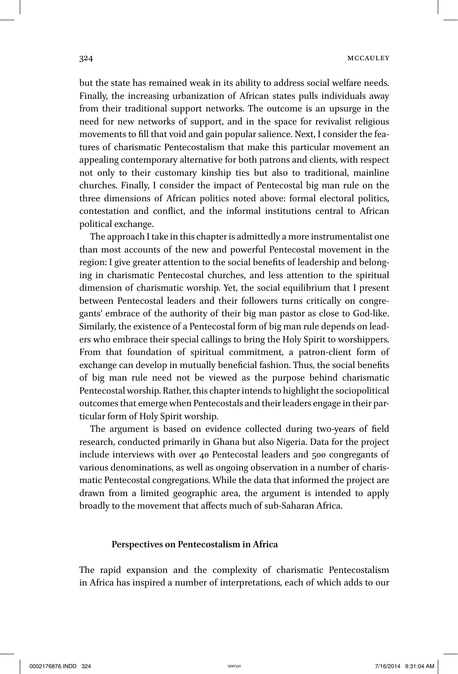but the state has remained weak in its ability to address social welfare needs. Finally, the increasing urbanization of African states pulls individuals away from their traditional support networks. The outcome is an upsurge in the need for new networks of support, and in the space for revivalist religious movements to fill that void and gain popular salience. Next, I consider the features of charismatic Pentecostalism that make this particular movement an appealing contemporary alternative for both patrons and clients, with respect not only to their customary kinship ties but also to traditional, mainline churches. Finally, I consider the impact of Pentecostal big man rule on the three dimensions of African politics noted above: formal electoral politics, contestation and conflict, and the informal institutions central to African political exchange.

The approach I take in this chapter is admittedly a more instrumentalist one than most accounts of the new and powerful Pentecostal movement in the region: I give greater attention to the social benefits of leadership and belonging in charismatic Pentecostal churches, and less attention to the spiritual dimension of charismatic worship. Yet, the social equilibrium that I present between Pentecostal leaders and their followers turns critically on congregants' embrace of the authority of their big man pastor as close to God-like. Similarly, the existence of a Pentecostal form of big man rule depends on leaders who embrace their special callings to bring the Holy Spirit to worshippers. From that foundation of spiritual commitment, a patron-client form of exchange can develop in mutually beneficial fashion. Thus, the social benefits of big man rule need not be viewed as the purpose behind charismatic Pentecostal worship. Rather, this chapter intends to highlight the sociopolitical outcomes that emerge when Pentecostals and their leaders engage in their particular form of Holy Spirit worship.

The argument is based on evidence collected during two-years of field research, conducted primarily in Ghana but also Nigeria. Data for the project include interviews with over 40 Pentecostal leaders and 500 congregants of various denominations, as well as ongoing observation in a number of charismatic Pentecostal congregations. While the data that informed the project are drawn from a limited geographic area, the argument is intended to apply broadly to the movement that affects much of sub-Saharan Africa.

#### **Perspectives on Pentecostalism in Africa**

The rapid expansion and the complexity of charismatic Pentecostalism in Africa has inspired a number of interpretations, each of which adds to our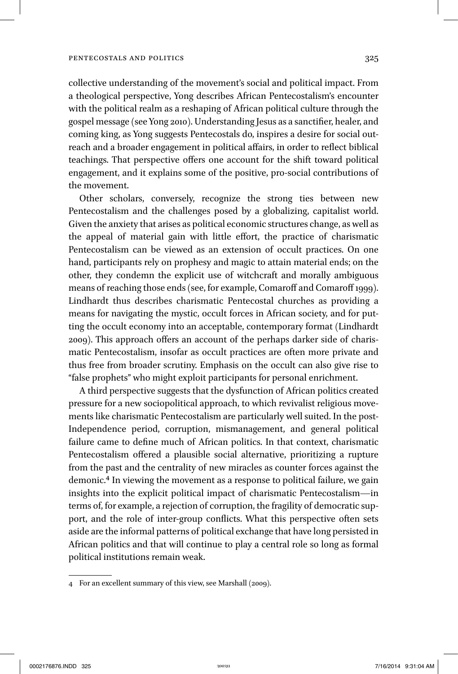collective understanding of the movement's social and political impact. From a theological perspective, Yong describes African Pentecostalism's encounter with the political realm as a reshaping of African political culture through the gospel message (see Yong 2010). Understanding Jesus as a sanctifier, healer, and coming king, as Yong suggests Pentecostals do, inspires a desire for social outreach and a broader engagement in political affairs, in order to reflect biblical teachings. That perspective offers one account for the shift toward political engagement, and it explains some of the positive, pro-social contributions of the movement.

Other scholars, conversely, recognize the strong ties between new Pentecostalism and the challenges posed by a globalizing, capitalist world. Given the anxiety that arises as political economic structures change, as well as the appeal of material gain with little effort, the practice of charismatic Pentecostalism can be viewed as an extension of occult practices. On one hand, participants rely on prophesy and magic to attain material ends; on the other, they condemn the explicit use of witchcraft and morally ambiguous means of reaching those ends (see, for example, Comaroff and Comaroff 1999). Lindhardt thus describes charismatic Pentecostal churches as providing a means for navigating the mystic, occult forces in African society, and for putting the occult economy into an acceptable, contemporary format (Lindhardt 2009). This approach offers an account of the perhaps darker side of charismatic Pentecostalism, insofar as occult practices are often more private and thus free from broader scrutiny. Emphasis on the occult can also give rise to "false prophets" who might exploit participants for personal enrichment.

A third perspective suggests that the dysfunction of African politics created pressure for a new sociopolitical approach, to which revivalist religious movements like charismatic Pentecostalism are particularly well suited. In the post-Independence period, corruption, mismanagement, and general political failure came to define much of African politics. In that context, charismatic Pentecostalism offered a plausible social alternative, prioritizing a rupture from the past and the centrality of new miracles as counter forces against the demonic.4 In viewing the movement as a response to political failure, we gain insights into the explicit political impact of charismatic Pentecostalism—in terms of, for example, a rejection of corruption, the fragility of democratic support, and the role of inter-group conflicts. What this perspective often sets aside are the informal patterns of political exchange that have long persisted in African politics and that will continue to play a central role so long as formal political institutions remain weak.

<sup>4</sup> For an excellent summary of this view, see Marshall (2009).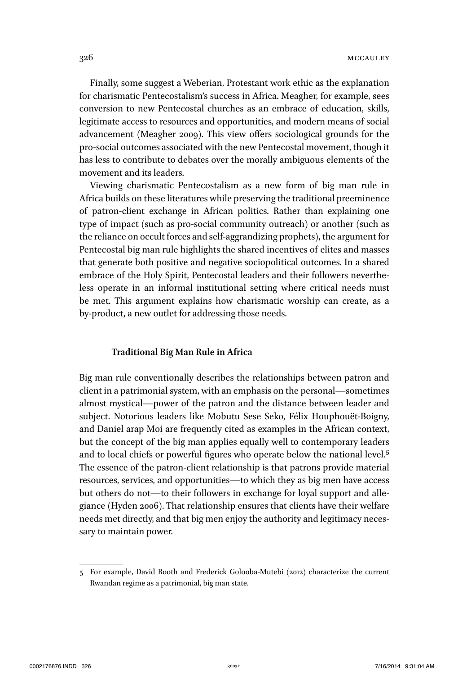Finally, some suggest a Weberian, Protestant work ethic as the explanation for charismatic Pentecostalism's success in Africa. Meagher, for example, sees conversion to new Pentecostal churches as an embrace of education, skills, legitimate access to resources and opportunities, and modern means of social advancement (Meagher 2009). This view offers sociological grounds for the pro-social outcomes associated with the new Pentecostal movement, though it has less to contribute to debates over the morally ambiguous elements of the movement and its leaders.

Viewing charismatic Pentecostalism as a new form of big man rule in Africa builds on these literatures while preserving the traditional preeminence of patron-client exchange in African politics. Rather than explaining one type of impact (such as pro-social community outreach) or another (such as the reliance on occult forces and self-aggrandizing prophets), the argument for Pentecostal big man rule highlights the shared incentives of elites and masses that generate both positive and negative sociopolitical outcomes. In a shared embrace of the Holy Spirit, Pentecostal leaders and their followers nevertheless operate in an informal institutional setting where critical needs must be met. This argument explains how charismatic worship can create, as a by-product, a new outlet for addressing those needs.

### **Traditional Big Man Rule in Africa**

Big man rule conventionally describes the relationships between patron and client in a patrimonial system, with an emphasis on the personal—sometimes almost mystical—power of the patron and the distance between leader and subject. Notorious leaders like Mobutu Sese Seko, Félix Houphouët-Boigny, and Daniel arap Moi are frequently cited as examples in the African context, but the concept of the big man applies equally well to contemporary leaders and to local chiefs or powerful figures who operate below the national level.5 The essence of the patron-client relationship is that patrons provide material resources, services, and opportunities—to which they as big men have access but others do not—to their followers in exchange for loyal support and allegiance (Hyden 2006). That relationship ensures that clients have their welfare needs met directly, and that big men enjoy the authority and legitimacy necessary to maintain power.

<sup>5</sup> For example, David Booth and Frederick Golooba-Mutebi (2012) characterize the current Rwandan regime as a patrimonial, big man state.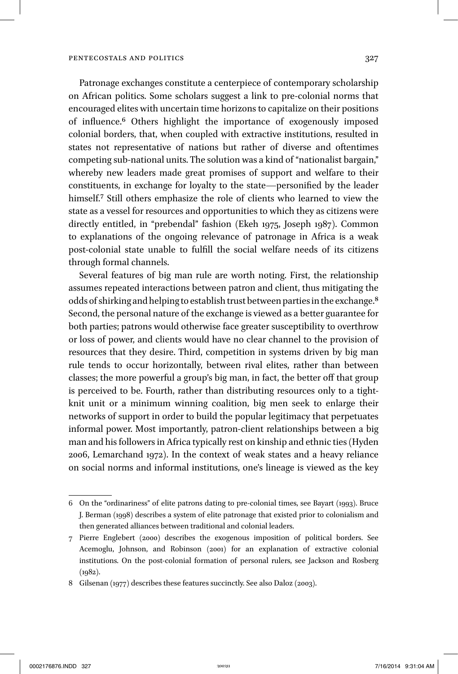Patronage exchanges constitute a centerpiece of contemporary scholarship on African politics. Some scholars suggest a link to pre-colonial norms that encouraged elites with uncertain time horizons to capitalize on their positions of influence.6 Others highlight the importance of exogenously imposed colonial borders, that, when coupled with extractive institutions, resulted in states not representative of nations but rather of diverse and oftentimes competing sub-national units. The solution was a kind of "nationalist bargain," whereby new leaders made great promises of support and welfare to their constituents, in exchange for loyalty to the state—personified by the leader himself.<sup>7</sup> Still others emphasize the role of clients who learned to view the state as a vessel for resources and opportunities to which they as citizens were directly entitled, in "prebendal" fashion (Ekeh 1975, Joseph 1987). Common to explanations of the ongoing relevance of patronage in Africa is a weak post-colonial state unable to fulfill the social welfare needs of its citizens through formal channels.

Several features of big man rule are worth noting. First, the relationship assumes repeated interactions between patron and client, thus mitigating the odds of shirking and helping to establish trust between parties in the exchange.8 Second, the personal nature of the exchange is viewed as a better guarantee for both parties; patrons would otherwise face greater susceptibility to overthrow or loss of power, and clients would have no clear channel to the provision of resources that they desire. Third, competition in systems driven by big man rule tends to occur horizontally, between rival elites, rather than between classes; the more powerful a group's big man, in fact, the better off that group is perceived to be. Fourth, rather than distributing resources only to a tightknit unit or a minimum winning coalition, big men seek to enlarge their networks of support in order to build the popular legitimacy that perpetuates informal power. Most importantly, patron-client relationships between a big man and his followers in Africa typically rest on kinship and ethnic ties (Hyden 2006, Lemarchand 1972). In the context of weak states and a heavy reliance on social norms and informal institutions, one's lineage is viewed as the key

<sup>6</sup> On the "ordinariness" of elite patrons dating to pre-colonial times, see Bayart (1993). Bruce J. Berman (1998) describes a system of elite patronage that existed prior to colonialism and then generated alliances between traditional and colonial leaders.

<sup>7</sup> Pierre Englebert (2000) describes the exogenous imposition of political borders. See Acemoglu, Johnson, and Robinson (2001) for an explanation of extractive colonial institutions. On the post-colonial formation of personal rulers, see Jackson and Rosberg (1982).

<sup>8</sup> Gilsenan (1977) describes these features succinctly. See also Daloz (2003).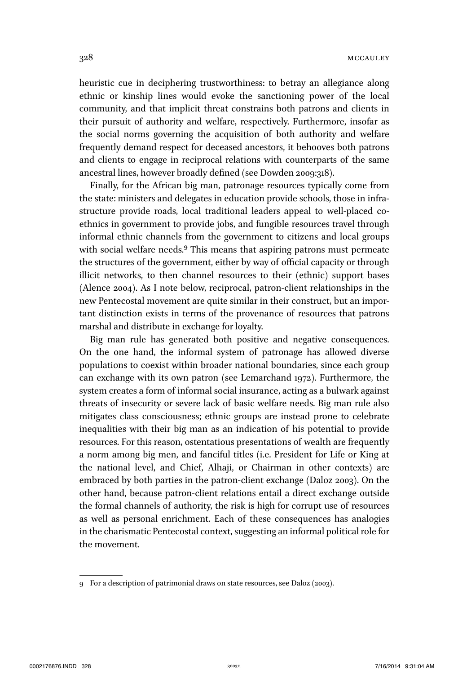heuristic cue in deciphering trustworthiness: to betray an allegiance along ethnic or kinship lines would evoke the sanctioning power of the local community, and that implicit threat constrains both patrons and clients in their pursuit of authority and welfare, respectively. Furthermore, insofar as the social norms governing the acquisition of both authority and welfare frequently demand respect for deceased ancestors, it behooves both patrons and clients to engage in reciprocal relations with counterparts of the same ancestral lines, however broadly defined (see Dowden 2009:318).

Finally, for the African big man, patronage resources typically come from the state: ministers and delegates in education provide schools, those in infrastructure provide roads, local traditional leaders appeal to well-placed coethnics in government to provide jobs, and fungible resources travel through informal ethnic channels from the government to citizens and local groups with social welfare needs.<sup>9</sup> This means that aspiring patrons must permeate the structures of the government, either by way of official capacity or through illicit networks, to then channel resources to their (ethnic) support bases (Alence 2004). As I note below, reciprocal, patron-client relationships in the new Pentecostal movement are quite similar in their construct, but an important distinction exists in terms of the provenance of resources that patrons marshal and distribute in exchange for loyalty.

Big man rule has generated both positive and negative consequences. On the one hand, the informal system of patronage has allowed diverse populations to coexist within broader national boundaries, since each group can exchange with its own patron (see Lemarchand 1972). Furthermore, the system creates a form of informal social insurance, acting as a bulwark against threats of insecurity or severe lack of basic welfare needs. Big man rule also mitigates class consciousness; ethnic groups are instead prone to celebrate inequalities with their big man as an indication of his potential to provide resources. For this reason, ostentatious presentations of wealth are frequently a norm among big men, and fanciful titles (i.e. President for Life or King at the national level, and Chief, Alhaji, or Chairman in other contexts) are embraced by both parties in the patron-client exchange (Daloz 2003). On the other hand, because patron-client relations entail a direct exchange outside the formal channels of authority, the risk is high for corrupt use of resources as well as personal enrichment. Each of these consequences has analogies in the charismatic Pentecostal context, suggesting an informal political role for the movement.

<sup>9</sup> For a description of patrimonial draws on state resources, see Daloz (2003).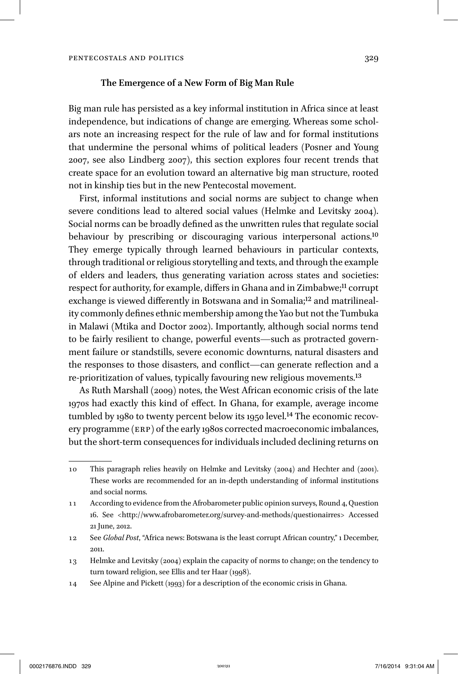# **The Emergence of a New Form of Big Man Rule**

Big man rule has persisted as a key informal institution in Africa since at least independence, but indications of change are emerging. Whereas some scholars note an increasing respect for the rule of law and for formal institutions that undermine the personal whims of political leaders (Posner and Young 2007, see also Lindberg 2007), this section explores four recent trends that create space for an evolution toward an alternative big man structure, rooted not in kinship ties but in the new Pentecostal movement.

First, informal institutions and social norms are subject to change when severe conditions lead to altered social values (Helmke and Levitsky 2004). Social norms can be broadly defined as the unwritten rules that regulate social behaviour by prescribing or discouraging various interpersonal actions.10 They emerge typically through learned behaviours in particular contexts, through traditional or religious storytelling and texts, and through the example of elders and leaders, thus generating variation across states and societies: respect for authority, for example, differs in Ghana and in Zimbabwe;<sup>11</sup> corrupt exchange is viewed differently in Botswana and in Somalia;<sup>12</sup> and matrilineality commonly defines ethnic membership among the Yao but not the Tumbuka in Malawi (Mtika and Doctor 2002). Importantly, although social norms tend to be fairly resilient to change, powerful events—such as protracted government failure or standstills, severe economic downturns, natural disasters and the responses to those disasters, and conflict—can generate reflection and a re-prioritization of values, typically favouring new religious movements.<sup>13</sup>

As Ruth Marshall (2009) notes, the West African economic crisis of the late 1970s had exactly this kind of effect. In Ghana, for example, average income tumbled by 1980 to twenty percent below its 1950 level.14 The economic recovery programme (ERP) of the early 1980s corrected macroeconomic imbalances, but the short-term consequences for individuals included declining returns on

<sup>10</sup> This paragraph relies heavily on Helmke and Levitsky (2004) and Hechter and (2001). These works are recommended for an in-depth understanding of informal institutions and social norms.

<sup>11</sup> According to evidence from the Afrobarometer public opinion surveys, Round 4, Question 16. See <http://www.afrobarometer.org/survey-and-methods/questionairres> Accessed 21 June, 2012.

<sup>12</sup> See *Global Post*, "Africa news: Botswana is the least corrupt African country," 1 December, 2011.

<sup>13</sup> Helmke and Levitsky (2004) explain the capacity of norms to change; on the tendency to turn toward religion, see Ellis and ter Haar (1998).

<sup>14</sup> See Alpine and Pickett (1993) for a description of the economic crisis in Ghana.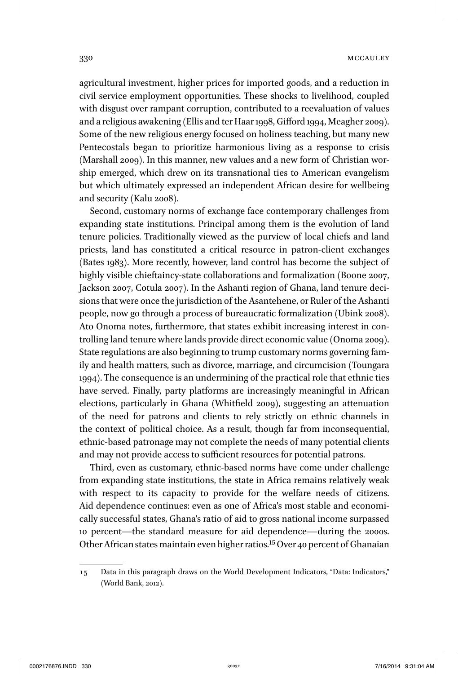agricultural investment, higher prices for imported goods, and a reduction in civil service employment opportunities. These shocks to livelihood, coupled with disgust over rampant corruption, contributed to a reevaluation of values and a religious awakening (Ellis and ter Haar 1998, Gifford 1994, Meagher 2009). Some of the new religious energy focused on holiness teaching, but many new Pentecostals began to prioritize harmonious living as a response to crisis (Marshall 2009). In this manner, new values and a new form of Christian worship emerged, which drew on its transnational ties to American evangelism but which ultimately expressed an independent African desire for wellbeing and security (Kalu 2008).

Second, customary norms of exchange face contemporary challenges from expanding state institutions. Principal among them is the evolution of land tenure policies. Traditionally viewed as the purview of local chiefs and land priests, land has constituted a critical resource in patron-client exchanges (Bates 1983). More recently, however, land control has become the subject of highly visible chieftaincy-state collaborations and formalization (Boone 2007, Jackson 2007, Cotula 2007). In the Ashanti region of Ghana, land tenure decisions that were once the jurisdiction of the Asantehene, or Ruler of the Ashanti people, now go through a process of bureaucratic formalization (Ubink 2008). Ato Onoma notes, furthermore, that states exhibit increasing interest in controlling land tenure where lands provide direct economic value (Onoma 2009). State regulations are also beginning to trump customary norms governing family and health matters, such as divorce, marriage, and circumcision (Toungara 1994). The consequence is an undermining of the practical role that ethnic ties have served. Finally, party platforms are increasingly meaningful in African elections, particularly in Ghana (Whitfield 2009), suggesting an attenuation of the need for patrons and clients to rely strictly on ethnic channels in the context of political choice. As a result, though far from inconsequential, ethnic-based patronage may not complete the needs of many potential clients and may not provide access to sufficient resources for potential patrons.

Third, even as customary, ethnic-based norms have come under challenge from expanding state institutions, the state in Africa remains relatively weak with respect to its capacity to provide for the welfare needs of citizens. Aid dependence continues: even as one of Africa's most stable and economically successful states, Ghana's ratio of aid to gross national income surpassed 10 percent—the standard measure for aid dependence—during the 2000s. Other African states maintain even higher ratios.15 Over 40 percent of Ghanaian

<sup>15</sup> Data in this paragraph draws on the World Development Indicators, "Data: Indicators," (World Bank, 2012).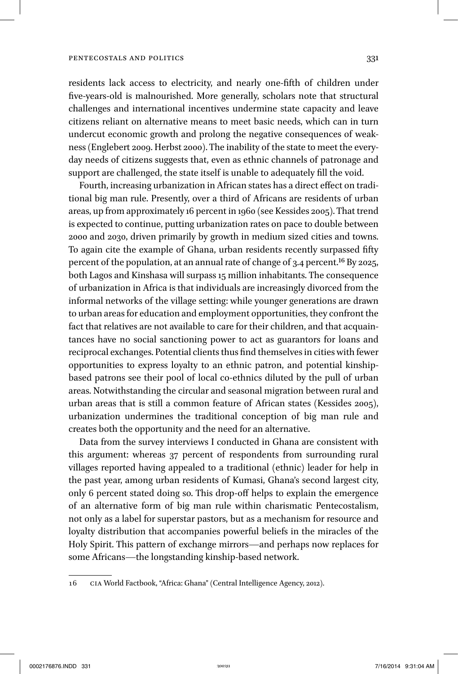residents lack access to electricity, and nearly one-fifth of children under five-years-old is malnourished. More generally, scholars note that structural challenges and international incentives undermine state capacity and leave citizens reliant on alternative means to meet basic needs, which can in turn undercut economic growth and prolong the negative consequences of weakness (Englebert 2009. Herbst 2000). The inability of the state to meet the everyday needs of citizens suggests that, even as ethnic channels of patronage and support are challenged, the state itself is unable to adequately fill the void.

Fourth, increasing urbanization in African states has a direct effect on traditional big man rule. Presently, over a third of Africans are residents of urban areas, up from approximately 16 percent in 1960 (see Kessides 2005). That trend is expected to continue, putting urbanization rates on pace to double between 2000 and 2030, driven primarily by growth in medium sized cities and towns. To again cite the example of Ghana, urban residents recently surpassed fifty percent of the population, at an annual rate of change of 3.4 percent.<sup>16</sup> By 2025, both Lagos and Kinshasa will surpass 15 million inhabitants. The consequence of urbanization in Africa is that individuals are increasingly divorced from the informal networks of the village setting: while younger generations are drawn to urban areas for education and employment opportunities, they confront the fact that relatives are not available to care for their children, and that acquaintances have no social sanctioning power to act as guarantors for loans and reciprocal exchanges. Potential clients thus find themselves in cities with fewer opportunities to express loyalty to an ethnic patron, and potential kinshipbased patrons see their pool of local co-ethnics diluted by the pull of urban areas. Notwithstanding the circular and seasonal migration between rural and urban areas that is still a common feature of African states (Kessides 2005), urbanization undermines the traditional conception of big man rule and creates both the opportunity and the need for an alternative.

Data from the survey interviews I conducted in Ghana are consistent with this argument: whereas 37 percent of respondents from surrounding rural villages reported having appealed to a traditional (ethnic) leader for help in the past year, among urban residents of Kumasi, Ghana's second largest city, only 6 percent stated doing so. This drop-off helps to explain the emergence of an alternative form of big man rule within charismatic Pentecostalism, not only as a label for superstar pastors, but as a mechanism for resource and loyalty distribution that accompanies powerful beliefs in the miracles of the Holy Spirit. This pattern of exchange mirrors—and perhaps now replaces for some Africans—the longstanding kinship-based network.

<sup>16</sup> cia World Factbook, "Africa: Ghana" (Central Intelligence Agency, 2012).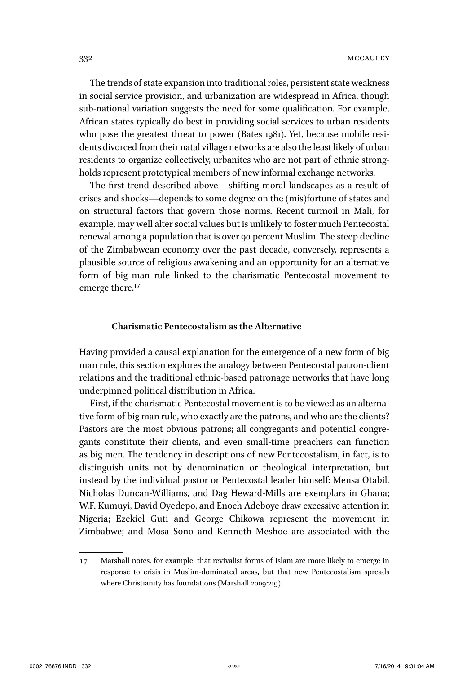The trends of state expansion into traditional roles, persistent state weakness in social service provision, and urbanization are widespread in Africa, though sub-national variation suggests the need for some qualification. For example, African states typically do best in providing social services to urban residents who pose the greatest threat to power (Bates 1981). Yet, because mobile residents divorced from their natal village networks are also the least likely of urban residents to organize collectively, urbanites who are not part of ethnic strongholds represent prototypical members of new informal exchange networks.

The first trend described above—shifting moral landscapes as a result of crises and shocks—depends to some degree on the (mis)fortune of states and on structural factors that govern those norms. Recent turmoil in Mali, for example, may well alter social values but is unlikely to foster much Pentecostal renewal among a population that is over 90 percent Muslim. The steep decline of the Zimbabwean economy over the past decade, conversely, represents a plausible source of religious awakening and an opportunity for an alternative form of big man rule linked to the charismatic Pentecostal movement to emerge there.17

# **Charismatic Pentecostalism as the Alternative**

Having provided a causal explanation for the emergence of a new form of big man rule, this section explores the analogy between Pentecostal patron-client relations and the traditional ethnic-based patronage networks that have long underpinned political distribution in Africa.

First, if the charismatic Pentecostal movement is to be viewed as an alternative form of big man rule, who exactly are the patrons, and who are the clients? Pastors are the most obvious patrons; all congregants and potential congregants constitute their clients, and even small-time preachers can function as big men. The tendency in descriptions of new Pentecostalism, in fact, is to distinguish units not by denomination or theological interpretation, but instead by the individual pastor or Pentecostal leader himself: Mensa Otabil, Nicholas Duncan-Williams, and Dag Heward-Mills are exemplars in Ghana; W.F. Kumuyi, David Oyedepo, and Enoch Adeboye draw excessive attention in Nigeria; Ezekiel Guti and George Chikowa represent the movement in Zimbabwe; and Mosa Sono and Kenneth Meshoe are associated with the

<sup>17</sup> Marshall notes, for example, that revivalist forms of Islam are more likely to emerge in response to crisis in Muslim-dominated areas, but that new Pentecostalism spreads where Christianity has foundations (Marshall 2009:219).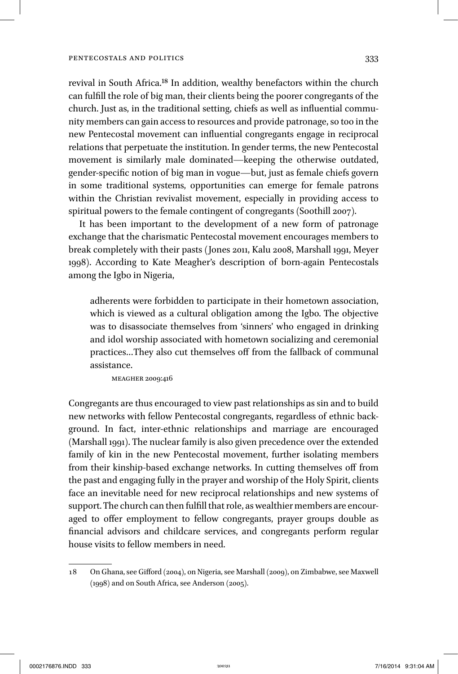revival in South Africa.<sup>18</sup> In addition, wealthy benefactors within the church can fulfill the role of big man, their clients being the poorer congregants of the church. Just as, in the traditional setting, chiefs as well as influential community members can gain access to resources and provide patronage, so too in the new Pentecostal movement can influential congregants engage in reciprocal relations that perpetuate the institution. In gender terms, the new Pentecostal movement is similarly male dominated—keeping the otherwise outdated, gender-specific notion of big man in vogue—but, just as female chiefs govern in some traditional systems, opportunities can emerge for female patrons within the Christian revivalist movement, especially in providing access to spiritual powers to the female contingent of congregants (Soothill 2007).

It has been important to the development of a new form of patronage exchange that the charismatic Pentecostal movement encourages members to break completely with their pasts (Jones 2011, Kalu 2008, Marshall 1991, Meyer 1998). According to Kate Meagher's description of born-again Pentecostals among the Igbo in Nigeria,

adherents were forbidden to participate in their hometown association, which is viewed as a cultural obligation among the Igbo. The objective was to disassociate themselves from 'sinners' who engaged in drinking and idol worship associated with hometown socializing and ceremonial practices…They also cut themselves off from the fallback of communal assistance.

meagher 2009:416

Congregants are thus encouraged to view past relationships as sin and to build new networks with fellow Pentecostal congregants, regardless of ethnic background. In fact, inter-ethnic relationships and marriage are encouraged (Marshall 1991). The nuclear family is also given precedence over the extended family of kin in the new Pentecostal movement, further isolating members from their kinship-based exchange networks. In cutting themselves off from the past and engaging fully in the prayer and worship of the Holy Spirit, clients face an inevitable need for new reciprocal relationships and new systems of support. The church can then fulfill that role, as wealthier members are encouraged to offer employment to fellow congregants, prayer groups double as financial advisors and childcare services, and congregants perform regular house visits to fellow members in need.

<sup>18</sup> On Ghana, see Gifford (2004), on Nigeria, see Marshall (2009), on Zimbabwe, see Maxwell (1998) and on South Africa, see Anderson (2005).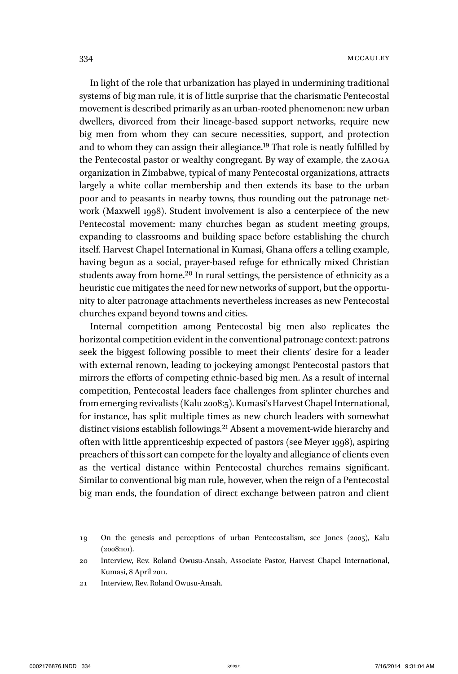In light of the role that urbanization has played in undermining traditional systems of big man rule, it is of little surprise that the charismatic Pentecostal movement is described primarily as an urban-rooted phenomenon: new urban dwellers, divorced from their lineage-based support networks, require new big men from whom they can secure necessities, support, and protection and to whom they can assign their allegiance.<sup>19</sup> That role is neatly fulfilled by the Pentecostal pastor or wealthy congregant. By way of example, the zaoga organization in Zimbabwe, typical of many Pentecostal organizations, attracts largely a white collar membership and then extends its base to the urban poor and to peasants in nearby towns, thus rounding out the patronage network (Maxwell 1998). Student involvement is also a centerpiece of the new Pentecostal movement: many churches began as student meeting groups, expanding to classrooms and building space before establishing the church itself. Harvest Chapel International in Kumasi, Ghana offers a telling example, having begun as a social, prayer-based refuge for ethnically mixed Christian students away from home.<sup>20</sup> In rural settings, the persistence of ethnicity as a heuristic cue mitigates the need for new networks of support, but the opportunity to alter patronage attachments nevertheless increases as new Pentecostal churches expand beyond towns and cities.

Internal competition among Pentecostal big men also replicates the horizontal competition evident in the conventional patronage context: patrons seek the biggest following possible to meet their clients' desire for a leader with external renown, leading to jockeying amongst Pentecostal pastors that mirrors the efforts of competing ethnic-based big men. As a result of internal competition, Pentecostal leaders face challenges from splinter churches and from emerging revivalists (Kalu 2008:5). Kumasi's Harvest Chapel International, for instance, has split multiple times as new church leaders with somewhat distinct visions establish followings.<sup>21</sup> Absent a movement-wide hierarchy and often with little apprenticeship expected of pastors (see Meyer 1998), aspiring preachers of this sort can compete for the loyalty and allegiance of clients even as the vertical distance within Pentecostal churches remains significant. Similar to conventional big man rule, however, when the reign of a Pentecostal big man ends, the foundation of direct exchange between patron and client

<sup>19</sup> On the genesis and perceptions of urban Pentecostalism, see Jones (2005), Kalu  $(2008:101).$ 

<sup>20</sup> Interview, Rev. Roland Owusu-Ansah, Associate Pastor, Harvest Chapel International, Kumasi, 8 April 2011.

<sup>21</sup> Interview, Rev. Roland Owusu-Ansah.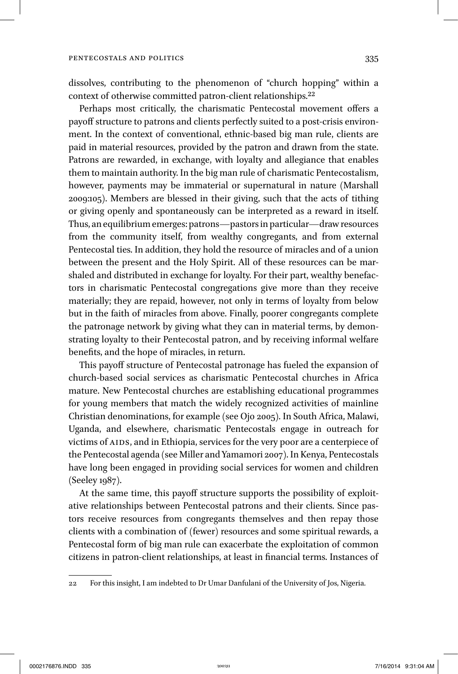dissolves, contributing to the phenomenon of "church hopping" within a context of otherwise committed patron-client relationships.22

Perhaps most critically, the charismatic Pentecostal movement offers a payoff structure to patrons and clients perfectly suited to a post-crisis environment. In the context of conventional, ethnic-based big man rule, clients are paid in material resources, provided by the patron and drawn from the state. Patrons are rewarded, in exchange, with loyalty and allegiance that enables them to maintain authority. In the big man rule of charismatic Pentecostalism, however, payments may be immaterial or supernatural in nature (Marshall 2009:105). Members are blessed in their giving, such that the acts of tithing or giving openly and spontaneously can be interpreted as a reward in itself. Thus, an equilibrium emerges: patrons—pastors in particular—draw resources from the community itself, from wealthy congregants, and from external Pentecostal ties. In addition, they hold the resource of miracles and of a union between the present and the Holy Spirit. All of these resources can be marshaled and distributed in exchange for loyalty. For their part, wealthy benefactors in charismatic Pentecostal congregations give more than they receive materially; they are repaid, however, not only in terms of loyalty from below but in the faith of miracles from above. Finally, poorer congregants complete the patronage network by giving what they can in material terms, by demonstrating loyalty to their Pentecostal patron, and by receiving informal welfare benefits, and the hope of miracles, in return.

This payoff structure of Pentecostal patronage has fueled the expansion of church-based social services as charismatic Pentecostal churches in Africa mature. New Pentecostal churches are establishing educational programmes for young members that match the widely recognized activities of mainline Christian denominations, for example (see Ojo 2005). In South Africa, Malawi, Uganda, and elsewhere, charismatic Pentecostals engage in outreach for victims of AIDS, and in Ethiopia, services for the very poor are a centerpiece of the Pentecostal agenda (see Miller and Yamamori 2007). In Kenya, Pentecostals have long been engaged in providing social services for women and children (Seeley 1987).

At the same time, this payoff structure supports the possibility of exploitative relationships between Pentecostal patrons and their clients. Since pastors receive resources from congregants themselves and then repay those clients with a combination of (fewer) resources and some spiritual rewards, a Pentecostal form of big man rule can exacerbate the exploitation of common citizens in patron-client relationships, at least in financial terms. Instances of

<sup>22</sup> For this insight, I am indebted to Dr Umar Danfulani of the University of Jos, Nigeria.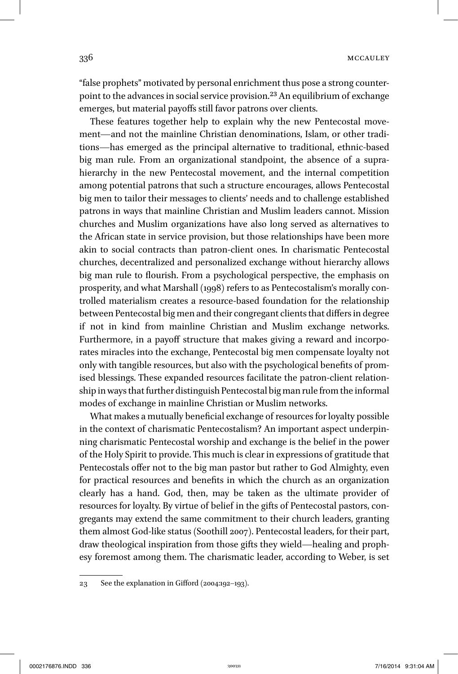"false prophets" motivated by personal enrichment thus pose a strong counterpoint to the advances in social service provision.23 An equilibrium of exchange emerges, but material payoffs still favor patrons over clients.

These features together help to explain why the new Pentecostal movement—and not the mainline Christian denominations, Islam, or other traditions—has emerged as the principal alternative to traditional, ethnic-based big man rule. From an organizational standpoint, the absence of a suprahierarchy in the new Pentecostal movement, and the internal competition among potential patrons that such a structure encourages, allows Pentecostal big men to tailor their messages to clients' needs and to challenge established patrons in ways that mainline Christian and Muslim leaders cannot. Mission churches and Muslim organizations have also long served as alternatives to the African state in service provision, but those relationships have been more akin to social contracts than patron-client ones. In charismatic Pentecostal churches, decentralized and personalized exchange without hierarchy allows big man rule to flourish. From a psychological perspective, the emphasis on prosperity, and what Marshall (1998) refers to as Pentecostalism's morally controlled materialism creates a resource-based foundation for the relationship between Pentecostal big men and their congregant clients that differs in degree if not in kind from mainline Christian and Muslim exchange networks. Furthermore, in a payoff structure that makes giving a reward and incorporates miracles into the exchange, Pentecostal big men compensate loyalty not only with tangible resources, but also with the psychological benefits of promised blessings. These expanded resources facilitate the patron-client relationship in ways that further distinguish Pentecostal big man rule from the informal modes of exchange in mainline Christian or Muslim networks.

What makes a mutually beneficial exchange of resources for loyalty possible in the context of charismatic Pentecostalism? An important aspect underpinning charismatic Pentecostal worship and exchange is the belief in the power of the Holy Spirit to provide. This much is clear in expressions of gratitude that Pentecostals offer not to the big man pastor but rather to God Almighty, even for practical resources and benefits in which the church as an organization clearly has a hand. God, then, may be taken as the ultimate provider of resources for loyalty. By virtue of belief in the gifts of Pentecostal pastors, congregants may extend the same commitment to their church leaders, granting them almost God-like status (Soothill 2007). Pentecostal leaders, for their part, draw theological inspiration from those gifts they wield—healing and prophesy foremost among them. The charismatic leader, according to Weber, is set

<sup>23</sup> See the explanation in Gifford (2004:192–193).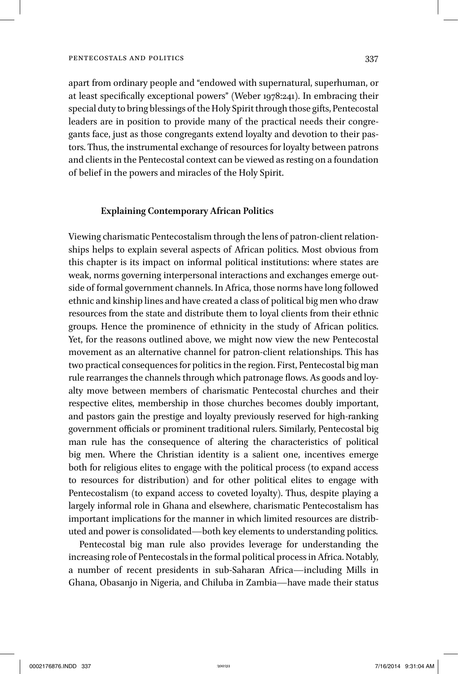#### PENTECOSTALS AND POLITICS 337

apart from ordinary people and "endowed with supernatural, superhuman, or at least specifically exceptional powers" (Weber 1978:241). In embracing their special duty to bring blessings of the Holy Spirit through those gifts, Pentecostal leaders are in position to provide many of the practical needs their congregants face, just as those congregants extend loyalty and devotion to their pastors. Thus, the instrumental exchange of resources for loyalty between patrons and clients in the Pentecostal context can be viewed as resting on a foundation of belief in the powers and miracles of the Holy Spirit.

#### **Explaining Contemporary African Politics**

Viewing charismatic Pentecostalism through the lens of patron-client relationships helps to explain several aspects of African politics. Most obvious from this chapter is its impact on informal political institutions: where states are weak, norms governing interpersonal interactions and exchanges emerge outside of formal government channels. In Africa, those norms have long followed ethnic and kinship lines and have created a class of political big men who draw resources from the state and distribute them to loyal clients from their ethnic groups. Hence the prominence of ethnicity in the study of African politics. Yet, for the reasons outlined above, we might now view the new Pentecostal movement as an alternative channel for patron-client relationships. This has two practical consequences for politics in the region. First, Pentecostal big man rule rearranges the channels through which patronage flows. As goods and loyalty move between members of charismatic Pentecostal churches and their respective elites, membership in those churches becomes doubly important, and pastors gain the prestige and loyalty previously reserved for high-ranking government officials or prominent traditional rulers. Similarly, Pentecostal big man rule has the consequence of altering the characteristics of political big men. Where the Christian identity is a salient one, incentives emerge both for religious elites to engage with the political process (to expand access to resources for distribution) and for other political elites to engage with Pentecostalism (to expand access to coveted loyalty). Thus, despite playing a largely informal role in Ghana and elsewhere, charismatic Pentecostalism has important implications for the manner in which limited resources are distributed and power is consolidated—both key elements to understanding politics.

Pentecostal big man rule also provides leverage for understanding the increasing role of Pentecostals in the formal political process in Africa. Notably, a number of recent presidents in sub-Saharan Africa—including Mills in Ghana, Obasanjo in Nigeria, and Chiluba in Zambia—have made their status

300311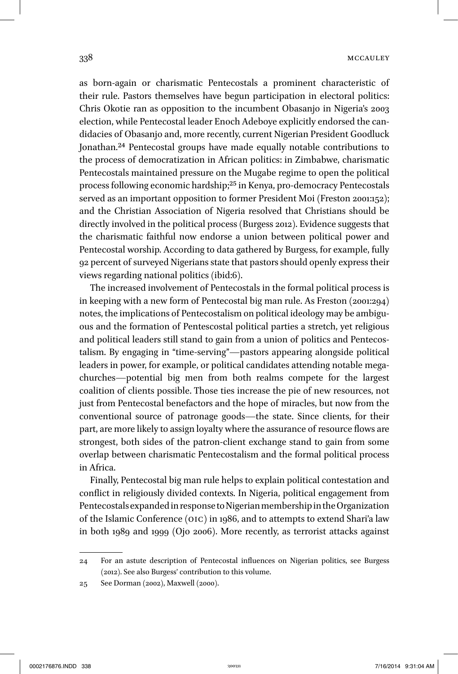as born-again or charismatic Pentecostals a prominent characteristic of their rule. Pastors themselves have begun participation in electoral politics: Chris Okotie ran as opposition to the incumbent Obasanjo in Nigeria's 2003 election, while Pentecostal leader Enoch Adeboye explicitly endorsed the candidacies of Obasanjo and, more recently, current Nigerian President Goodluck Jonathan.24 Pentecostal groups have made equally notable contributions to the process of democratization in African politics: in Zimbabwe, charismatic Pentecostals maintained pressure on the Mugabe regime to open the political process following economic hardship;25 in Kenya, pro-democracy Pentecostals served as an important opposition to former President Moi (Freston 2001:152); and the Christian Association of Nigeria resolved that Christians should be directly involved in the political process (Burgess 2012). Evidence suggests that the charismatic faithful now endorse a union between political power and Pentecostal worship. According to data gathered by Burgess, for example, fully 92 percent of surveyed Nigerians state that pastors should openly express their views regarding national politics (ibid:6).

The increased involvement of Pentecostals in the formal political process is in keeping with a new form of Pentecostal big man rule. As Freston (2001:294) notes, the implications of Pentecostalism on political ideology may be ambiguous and the formation of Pentescostal political parties a stretch, yet religious and political leaders still stand to gain from a union of politics and Pentecostalism. By engaging in "time-serving"—pastors appearing alongside political leaders in power, for example, or political candidates attending notable megachurches—potential big men from both realms compete for the largest coalition of clients possible. Those ties increase the pie of new resources, not just from Pentecostal benefactors and the hope of miracles, but now from the conventional source of patronage goods—the state. Since clients, for their part, are more likely to assign loyalty where the assurance of resource flows are strongest, both sides of the patron-client exchange stand to gain from some overlap between charismatic Pentecostalism and the formal political process in Africa.

Finally, Pentecostal big man rule helps to explain political contestation and conflict in religiously divided contexts. In Nigeria, political engagement from Pentecostals expanded in response to Nigerian membership in the Organization of the Islamic Conference (oic) in 1986, and to attempts to extend Shari'a law in both 1989 and 1999 (Ojo 2006). More recently, as terrorist attacks against

<sup>24</sup> For an astute description of Pentecostal influences on Nigerian politics, see Burgess (2012). See also Burgess' contribution to this volume.

<sup>25</sup> See Dorman (2002), Maxwell (2000).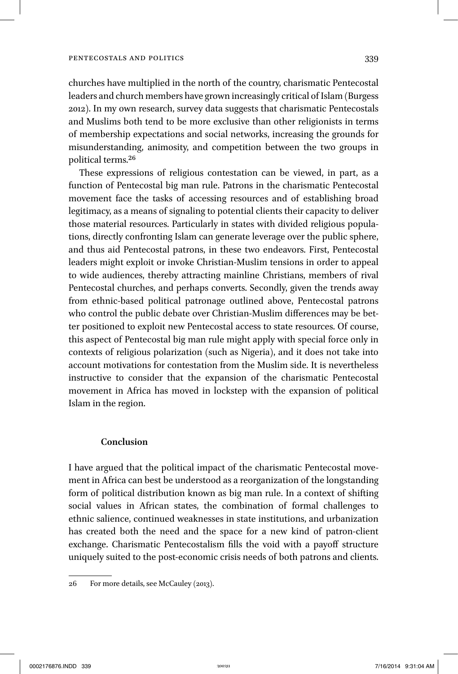churches have multiplied in the north of the country, charismatic Pentecostal leaders and church members have grown increasingly critical of Islam (Burgess 2012). In my own research, survey data suggests that charismatic Pentecostals and Muslims both tend to be more exclusive than other religionists in terms of membership expectations and social networks, increasing the grounds for misunderstanding, animosity, and competition between the two groups in political terms.26

These expressions of religious contestation can be viewed, in part, as a function of Pentecostal big man rule. Patrons in the charismatic Pentecostal movement face the tasks of accessing resources and of establishing broad legitimacy, as a means of signaling to potential clients their capacity to deliver those material resources. Particularly in states with divided religious populations, directly confronting Islam can generate leverage over the public sphere, and thus aid Pentecostal patrons, in these two endeavors. First, Pentecostal leaders might exploit or invoke Christian-Muslim tensions in order to appeal to wide audiences, thereby attracting mainline Christians, members of rival Pentecostal churches, and perhaps converts. Secondly, given the trends away from ethnic-based political patronage outlined above, Pentecostal patrons who control the public debate over Christian-Muslim differences may be better positioned to exploit new Pentecostal access to state resources. Of course, this aspect of Pentecostal big man rule might apply with special force only in contexts of religious polarization (such as Nigeria), and it does not take into account motivations for contestation from the Muslim side. It is nevertheless instructive to consider that the expansion of the charismatic Pentecostal movement in Africa has moved in lockstep with the expansion of political Islam in the region.

#### **Conclusion**

I have argued that the political impact of the charismatic Pentecostal movement in Africa can best be understood as a reorganization of the longstanding form of political distribution known as big man rule. In a context of shifting social values in African states, the combination of formal challenges to ethnic salience, continued weaknesses in state institutions, and urbanization has created both the need and the space for a new kind of patron-client exchange. Charismatic Pentecostalism fills the void with a payoff structure uniquely suited to the post-economic crisis needs of both patrons and clients.

<sup>26</sup> For more details, see McCauley (2013).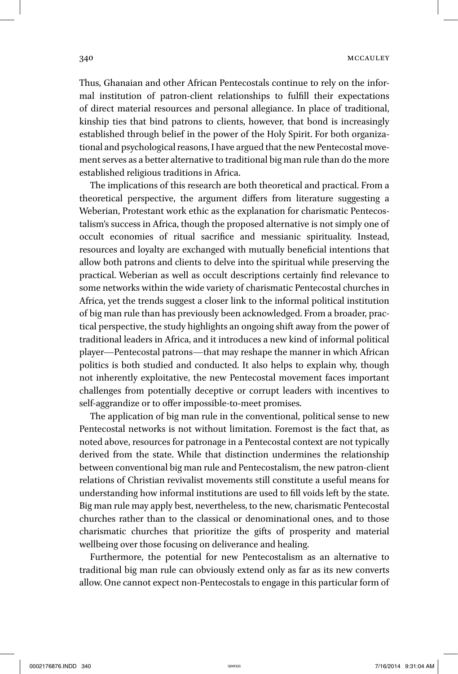Thus, Ghanaian and other African Pentecostals continue to rely on the informal institution of patron-client relationships to fulfill their expectations of direct material resources and personal allegiance. In place of traditional, kinship ties that bind patrons to clients, however, that bond is increasingly established through belief in the power of the Holy Spirit. For both organizational and psychological reasons, I have argued that the new Pentecostal movement serves as a better alternative to traditional big man rule than do the more established religious traditions in Africa.

The implications of this research are both theoretical and practical. From a theoretical perspective, the argument differs from literature suggesting a Weberian, Protestant work ethic as the explanation for charismatic Pentecostalism's success in Africa, though the proposed alternative is not simply one of occult economies of ritual sacrifice and messianic spirituality. Instead, resources and loyalty are exchanged with mutually beneficial intentions that allow both patrons and clients to delve into the spiritual while preserving the practical. Weberian as well as occult descriptions certainly find relevance to some networks within the wide variety of charismatic Pentecostal churches in Africa, yet the trends suggest a closer link to the informal political institution of big man rule than has previously been acknowledged. From a broader, practical perspective, the study highlights an ongoing shift away from the power of traditional leaders in Africa, and it introduces a new kind of informal political player—Pentecostal patrons—that may reshape the manner in which African politics is both studied and conducted. It also helps to explain why, though not inherently exploitative, the new Pentecostal movement faces important challenges from potentially deceptive or corrupt leaders with incentives to self-aggrandize or to offer impossible-to-meet promises.

The application of big man rule in the conventional, political sense to new Pentecostal networks is not without limitation. Foremost is the fact that, as noted above, resources for patronage in a Pentecostal context are not typically derived from the state. While that distinction undermines the relationship between conventional big man rule and Pentecostalism, the new patron-client relations of Christian revivalist movements still constitute a useful means for understanding how informal institutions are used to fill voids left by the state. Big man rule may apply best, nevertheless, to the new, charismatic Pentecostal churches rather than to the classical or denominational ones, and to those charismatic churches that prioritize the gifts of prosperity and material wellbeing over those focusing on deliverance and healing.

Furthermore, the potential for new Pentecostalism as an alternative to traditional big man rule can obviously extend only as far as its new converts allow. One cannot expect non-Pentecostals to engage in this particular form of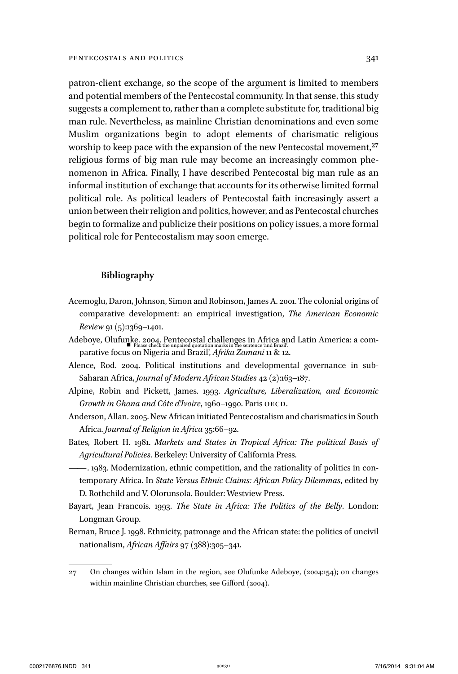patron-client exchange, so the scope of the argument is limited to members and potential members of the Pentecostal community. In that sense, this study suggests a complement to, rather than a complete substitute for, traditional big man rule. Nevertheless, as mainline Christian denominations and even some Muslim organizations begin to adopt elements of charismatic religious worship to keep pace with the expansion of the new Pentecostal movement,<sup>27</sup> religious forms of big man rule may become an increasingly common phenomenon in Africa. Finally, I have described Pentecostal big man rule as an informal institution of exchange that accounts for its otherwise limited formal political role. As political leaders of Pentecostal faith increasingly assert a union between their religion and politics, however, and as Pentecostal churches begin to formalize and publicize their positions on policy issues, a more formal political role for Pentecostalism may soon emerge.

# **Bibliography**

- Acemoglu, Daron, Johnson, Simon and Robinson, James A. 2001. The colonial origins of comparative development: an empirical investigation, *The American Economic Review* 91 (5):1369–1401.
- Adeboye, Olufunke. 2004. Pentecostal challenges in Africa and Latin America: a com-n Please check the unpaired quotation marks in the sentence 'and Brazil'. parative focus on Nigeria and Brazil', *Afrika Zamani* 11 & 12.
- Alence, Rod. 2004. Political institutions and developmental governance in sub-Saharan Africa, *Journal of Modern African Studies* 42 (2):163–187.
- Alpine, Robin and Pickett, James. 1993. *Agriculture, Liberalization, and Economic Growth in Ghana and Côte d'Ivoire*, 1960–1990. Paris OECD.
- Anderson, Allan. 2005. New African initiated Pentecostalism and charismatics in South Africa. *Journal of Religion in Africa* 35:66–92.
- Bates, Robert H. 1981. *Markets and States in Tropical Africa: The political Basis of Agricultural Policies*. Berkeley: University of California Press.
- —— . 1983. Modernization, ethnic competition, and the rationality of politics in contemporary Africa. In *State Versus Ethnic Claims: African Policy Dilemmas*, edited by D. Rothchild and V. Olorunsola. Boulder: Westview Press.
- Bayart, Jean Francois. 1993. *The State in Africa: The Politics of the Belly*. London: Longman Group.
- Bernan, Bruce J. 1998. Ethnicity, patronage and the African state: the politics of uncivil nationalism, *African Affairs* 97 (388):305–341.

<sup>27</sup> On changes within Islam in the region, see Olufunke Adeboye, (2004:154); on changes within mainline Christian churches, see Gifford (2004).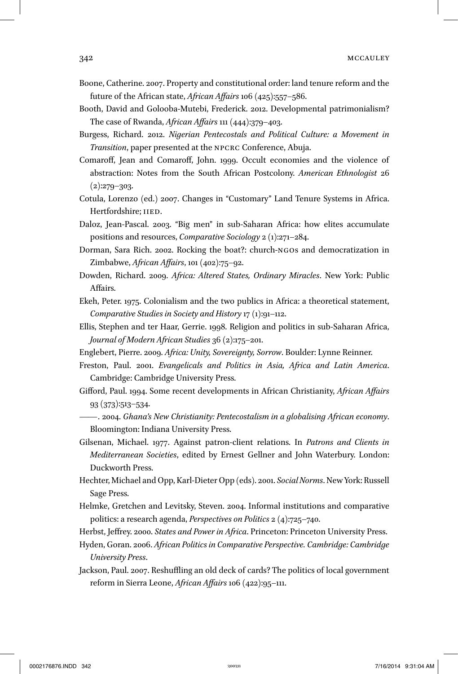- Boone, Catherine. 2007. Property and constitutional order: land tenure reform and the future of the African state, *African Affairs* 106 (425):557–586.
- Booth, David and Golooba-Mutebi, Frederick. 2012. Developmental patrimonialism? The case of Rwanda, *African Affairs* 111 (444):379–403.
- Burgess, Richard. 2012. *Nigerian Pentecostals and Political Culture: a Movement in Transition*, paper presented at the npcrc Conference, Abuja.
- Comaroff, Jean and Comaroff, John. 1999. Occult economies and the violence of abstraction: Notes from the South African Postcolony. *American Ethnologist* 26  $(2):279-303.$
- Cotula, Lorenzo (ed.) 2007. Changes in "Customary" Land Tenure Systems in Africa. Hertfordshire; iied.
- Daloz, Jean-Pascal. 2003. "Big men" in sub-Saharan Africa: how elites accumulate positions and resources, *Comparative Sociology* 2 (1):271–284.
- Dorman, Sara Rich. 2002. Rocking the boat?: church-ngos and democratization in Zimbabwe, *African Affairs*, 101 (402):75–92.
- Dowden, Richard. 2009. *Africa: Altered States, Ordinary Miracles*. New York: Public Affairs.
- Ekeh, Peter. 1975. Colonialism and the two publics in Africa: a theoretical statement, *Comparative Studies in Society and History* 17 (1):91–112.
- Ellis, Stephen and ter Haar, Gerrie. 1998. Religion and politics in sub-Saharan Africa, *Journal of Modern African Studies* 36 (2):175–201.
- Englebert, Pierre. 2009. *Africa: Unity, Sovereignty, Sorrow*. Boulder: Lynne Reinner.
- Freston, Paul. 2001. *Evangelicals and Politics in Asia, Africa and Latin America*. Cambridge: Cambridge University Press.
- Gifford, Paul. 1994. Some recent developments in African Christianity, *African Affairs* 93 (373):513–534.
- —— . 2004. *Ghana's New Christianity: Pentecostalism in a globalising African economy*. Bloomington: Indiana University Press.
- Gilsenan, Michael. 1977. Against patron-client relations. In *Patrons and Clients in Mediterranean Societies*, edited by Ernest Gellner and John Waterbury. London: Duckworth Press.
- Hechter, Michael and Opp, Karl-Dieter Opp (eds). 2001. *Social Norms*. New York: Russell Sage Press.
- Helmke, Gretchen and Levitsky, Steven. 2004. Informal institutions and comparative politics: a research agenda, *Perspectives on Politics* 2 (4):725–740.
- Herbst, Jeffrey. 2000. *States and Power in Africa*. Princeton: Princeton University Press.
- Hyden, Goran. 2006. *African Politics in Comparative Perspective. Cambridge: Cambridge University Press*.
- Jackson, Paul. 2007. Reshuffling an old deck of cards? The politics of local government reform in Sierra Leone, *African Affairs* 106 (422):95–111.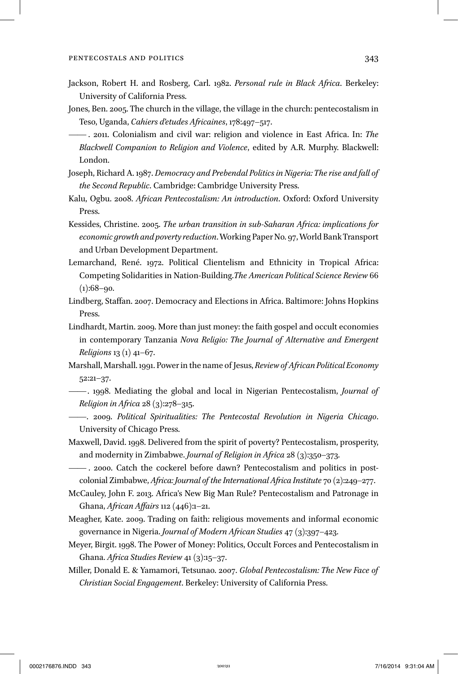- Jackson, Robert H. and Rosberg, Carl. 1982. *Personal rule in Black Africa*. Berkeley: University of California Press.
- Jones, Ben. 2005. The church in the village, the village in the church: pentecostalism in Teso, Uganda, *Cahiers d'etudes Africaines*, 178:497–517.
	- —— . 2011. Colonialism and civil war: religion and violence in East Africa. In: *The Blackwell Companion to Religion and Violence*, edited by A.R. Murphy. Blackwell: London.
- Joseph, Richard A. 1987. *Democracy and Prebendal Politics in Nigeria: The rise and fall of the Second Republic*. Cambridge: Cambridge University Press.
- Kalu, Ogbu. 2008. *African Pentecostalism: An introduction*. Oxford: Oxford University Press.
- Kessides, Christine. 2005. *The urban transition in sub-Saharan Africa: implications for economic growth and poverty reduction*. Working Paper No. 97, World Bank Transport and Urban Development Department.
- Lemarchand, René. 1972. Political Clientelism and Ethnicity in Tropical Africa: Competing Solidarities in Nation-Building.*The American Political Science Review* 66  $(1):68-90.$
- Lindberg, Staffan. 2007. Democracy and Elections in Africa. Baltimore: Johns Hopkins Press.
- Lindhardt, Martin. 2009. More than just money: the faith gospel and occult economies in contemporary Tanzania *Nova Religio: The Journal of Alternative and Emergent Religions* 13 (1) 41–67.

Marshall, Marshall. 1991. Power in the name of Jesus, *Review of African Political Economy* 52:21–37.

- —— . 1998. Mediating the global and local in Nigerian Pentecostalism, *Journal of Religion in Africa* 28 (3):278–315.
- —— . 2009. *Political Spiritualities: The Pentecostal Revolution in Nigeria Chicago*. University of Chicago Press.
- Maxwell, David. 1998. Delivered from the spirit of poverty? Pentecostalism, prosperity, and modernity in Zimbabwe. *Journal of Religion in Africa* 28 (3):350–373.
- —— . 2000. Catch the cockerel before dawn? Pentecostalism and politics in postcolonial Zimbabwe, *Africa: Journal of the International Africa Institute* 70 (2):249–277.
- McCauley, John F. 2013. Africa's New Big Man Rule? Pentecostalism and Patronage in Ghana, *African Affairs* 112 (446):1–21.
- Meagher, Kate. 2009. Trading on faith: religious movements and informal economic governance in Nigeria. *Journal of Modern African Studies* 47 (3):397–423.
- Meyer, Birgit. 1998. The Power of Money: Politics, Occult Forces and Pentecostalism in Ghana. *Africa Studies Review* 41 (3):15–37.
- Miller, Donald E. & Yamamori, Tetsunao. 2007. *Global Pentecostalism: The New Face of Christian Social Engagement*. Berkeley: University of California Press.